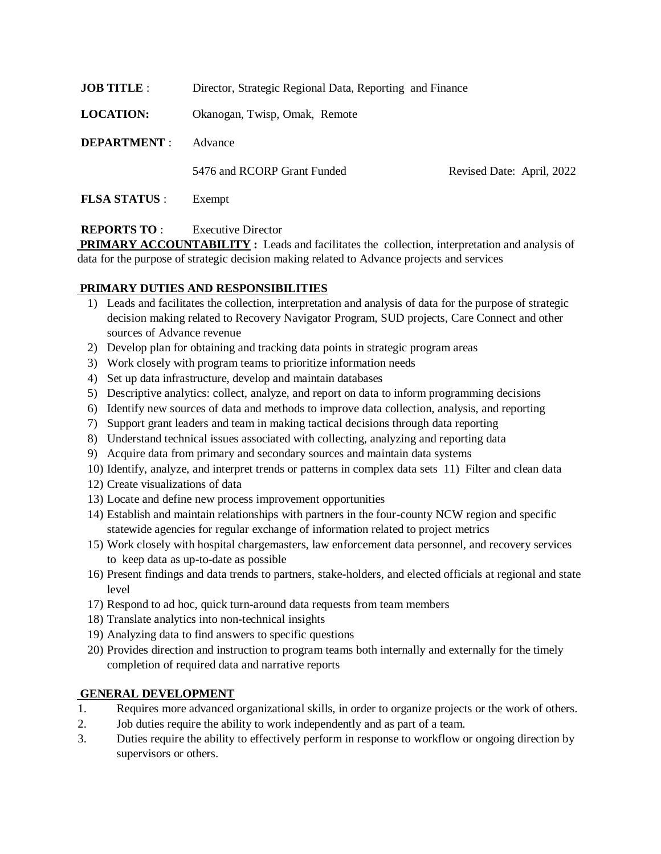| <b>JOB TITLE:</b>    | Director, Strategic Regional Data, Reporting and Finance |                           |  |  |  |  |
|----------------------|----------------------------------------------------------|---------------------------|--|--|--|--|
| <b>LOCATION:</b>     | Okanogan, Twisp, Omak, Remote                            |                           |  |  |  |  |
| <b>DEPARTMENT:</b>   | Advance                                                  |                           |  |  |  |  |
|                      | 5476 and RCORP Grant Funded                              | Revised Date: April, 2022 |  |  |  |  |
| <b>FLSA STATUS :</b> | Exempt                                                   |                           |  |  |  |  |

# **REPORTS TO** : Executive Director

**PRIMARY ACCOUNTABILITY :** Leads and facilitates the collection, interpretation and analysis of data for the purpose of strategic decision making related to Advance projects and services

# **PRIMARY DUTIES AND RESPONSIBILITIES**

- 1) Leads and facilitates the collection, interpretation and analysis of data for the purpose of strategic decision making related to Recovery Navigator Program, SUD projects, Care Connect and other sources of Advance revenue
- 2) Develop plan for obtaining and tracking data points in strategic program areas
- 3) Work closely with program teams to prioritize information needs
- 4) Set up data infrastructure, develop and maintain databases
- 5) Descriptive analytics: collect, analyze, and report on data to inform programming decisions
- 6) Identify new sources of data and methods to improve data collection, analysis, and reporting
- 7) Support grant leaders and team in making tactical decisions through data reporting
- 8) Understand technical issues associated with collecting, analyzing and reporting data
- 9) Acquire data from primary and secondary sources and maintain data systems
- 10) Identify, analyze, and interpret trends or patterns in complex data sets 11) Filter and clean data
- 12) Create visualizations of data
- 13) Locate and define new process improvement opportunities
- 14) Establish and maintain relationships with partners in the four-county NCW region and specific statewide agencies for regular exchange of information related to project metrics
- 15) Work closely with hospital chargemasters, law enforcement data personnel, and recovery services to keep data as up-to-date as possible
- 16) Present findings and data trends to partners, stake-holders, and elected officials at regional and state level
- 17) Respond to ad hoc, quick turn-around data requests from team members
- 18) Translate analytics into non-technical insights
- 19) Analyzing data to find answers to specific questions
- 20) Provides direction and instruction to program teams both internally and externally for the timely completion of required data and narrative reports

#### **GENERAL DEVELOPMENT**

- 1. Requires more advanced organizational skills, in order to organize projects or the work of others.
- 2. Job duties require the ability to work independently and as part of a team.
- 3. Duties require the ability to effectively perform in response to workflow or ongoing direction by supervisors or others.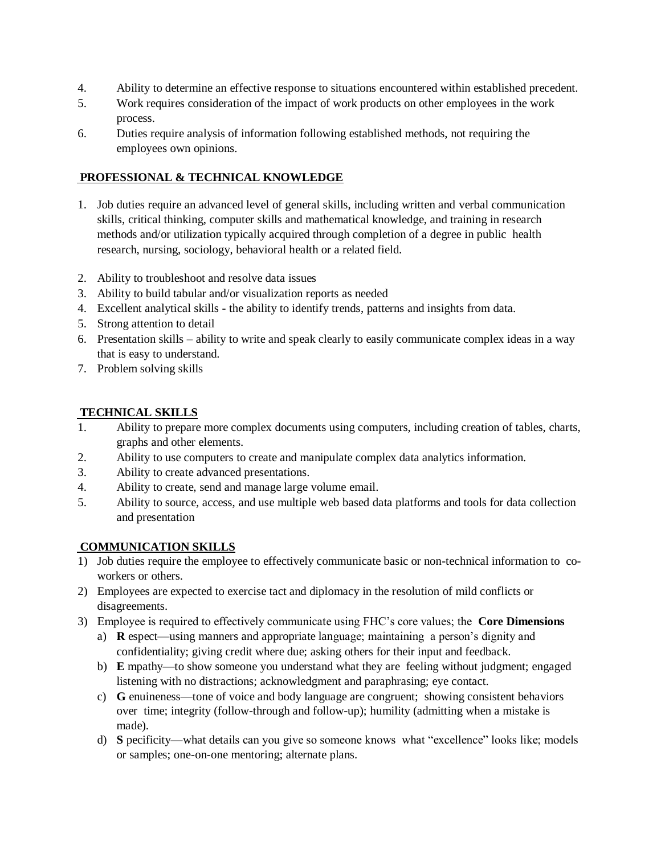- 4. Ability to determine an effective response to situations encountered within established precedent.
- 5. Work requires consideration of the impact of work products on other employees in the work process.
- 6. Duties require analysis of information following established methods, not requiring the employees own opinions.

# **PROFESSIONAL & TECHNICAL KNOWLEDGE**

- 1. Job duties require an advanced level of general skills, including written and verbal communication skills, critical thinking, computer skills and mathematical knowledge, and training in research methods and/or utilization typically acquired through completion of a degree in public health research, nursing, sociology, behavioral health or a related field.
- 2. Ability to troubleshoot and resolve data issues
- 3. Ability to build tabular and/or visualization reports as needed
- 4. Excellent analytical skills the ability to identify trends, patterns and insights from data.
- 5. Strong attention to detail
- 6. Presentation skills ability to write and speak clearly to easily communicate complex ideas in a way that is easy to understand.
- 7. Problem solving skills

# **TECHNICAL SKILLS**

- 1. Ability to prepare more complex documents using computers, including creation of tables, charts, graphs and other elements.
- 2. Ability to use computers to create and manipulate complex data analytics information.
- 3. Ability to create advanced presentations.
- 4. Ability to create, send and manage large volume email.
- 5. Ability to source, access, and use multiple web based data platforms and tools for data collection and presentation

#### **COMMUNICATION SKILLS**

- 1) Job duties require the employee to effectively communicate basic or non-technical information to coworkers or others.
- 2) Employees are expected to exercise tact and diplomacy in the resolution of mild conflicts or disagreements.
- 3) Employee is required to effectively communicate using FHC's core values; the **Core Dimensions** 
	- a) **R** espect—using manners and appropriate language; maintaining a person's dignity and confidentiality; giving credit where due; asking others for their input and feedback.
	- b) **E** mpathy—to show someone you understand what they are feeling without judgment; engaged listening with no distractions; acknowledgment and paraphrasing; eye contact.
	- c) **G** enuineness—tone of voice and body language are congruent; showing consistent behaviors over time; integrity (follow-through and follow-up); humility (admitting when a mistake is made).
	- d) **S** pecificity—what details can you give so someone knows what "excellence" looks like; models or samples; one-on-one mentoring; alternate plans.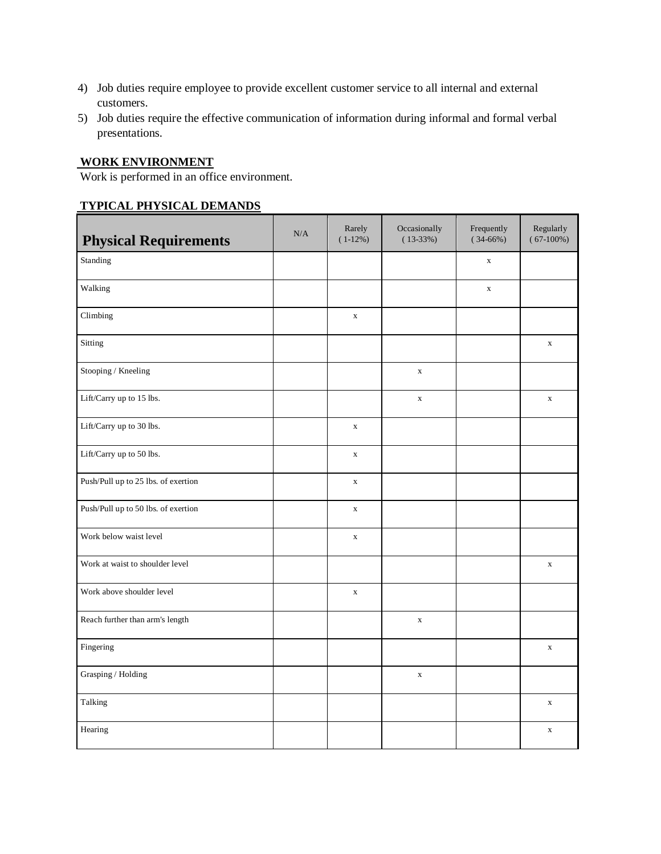- 4) Job duties require employee to provide excellent customer service to all internal and external customers.
- 5) Job duties require the effective communication of information during informal and formal verbal presentations.

# **WORK ENVIRONMENT**

Work is performed in an office environment.

# **TYPICAL PHYSICAL DEMANDS**

| <b>Physical Requirements</b>        | N/A | Rarely<br>$(1-12%)$ | Occasionally<br>$(13-33%)$ | Frequently<br>$(34-66%)$ | Regularly<br>$(67-100%)$ |
|-------------------------------------|-----|---------------------|----------------------------|--------------------------|--------------------------|
| Standing                            |     |                     |                            | $\mathbf X$              |                          |
| Walking                             |     |                     |                            | $\mathbf x$              |                          |
| Climbing                            |     | $\mathbf X$         |                            |                          |                          |
| Sitting                             |     |                     |                            |                          | $\mathbf X$              |
| Stooping / Kneeling                 |     |                     | $\mathbf X$                |                          |                          |
| Lift/Carry up to 15 lbs.            |     |                     | $\mathbf X$                |                          | $\mathbf X$              |
| Lift/Carry up to 30 lbs.            |     | $\mathbf X$         |                            |                          |                          |
| Lift/Carry up to 50 lbs.            |     | $\mathbf X$         |                            |                          |                          |
| Push/Pull up to 25 lbs. of exertion |     | $\mathbf X$         |                            |                          |                          |
| Push/Pull up to 50 lbs. of exertion |     | $\mathbf{X}$        |                            |                          |                          |
| Work below waist level              |     | $\mathbf X$         |                            |                          |                          |
| Work at waist to shoulder level     |     |                     |                            |                          | $\mathbf X$              |
| Work above shoulder level           |     | $\mathbf X$         |                            |                          |                          |
| Reach further than arm's length     |     |                     | $\mathbf x$                |                          |                          |
| Fingering                           |     |                     |                            |                          | $\mathbf X$              |
| Grasping / Holding                  |     |                     | $\mathbf X$                |                          |                          |
| Talking                             |     |                     |                            |                          | $\mathbf X$              |
| Hearing                             |     |                     |                            |                          | $\mathbf X$              |